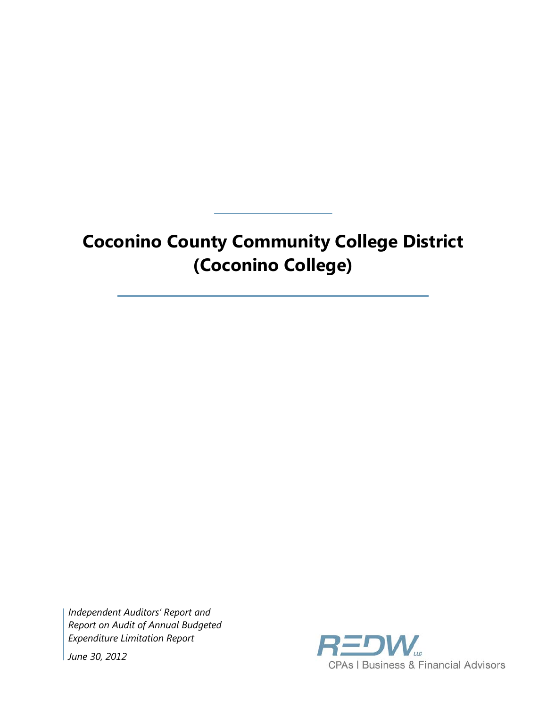# **Coconino County Community College District (Coconino College)**

*Independent Auditors' Report and Report on Audit of Annual Budgeted Expenditure Limitation Report*

*June 30, 2012*

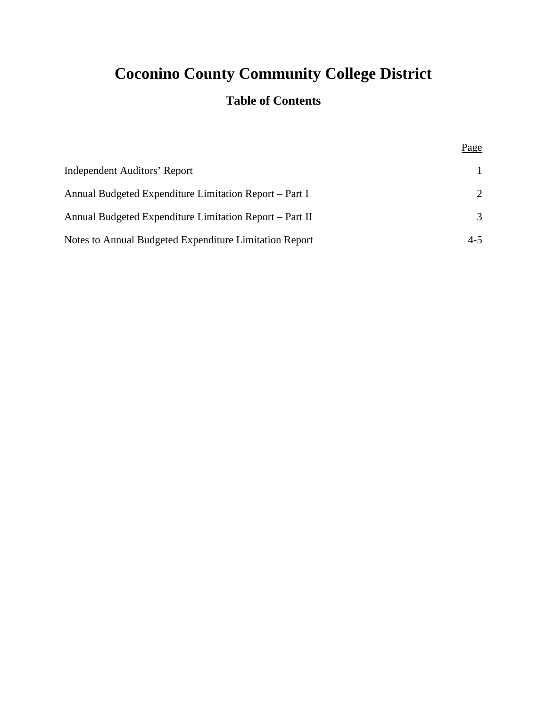# **Coconino County Community College District**

# **Table of Contents**

Page

| Independent Auditors' Report                            |                             |
|---------------------------------------------------------|-----------------------------|
| Annual Budgeted Expenditure Limitation Report – Part I  | $\mathcal{D}_{\mathcal{L}}$ |
| Annual Budgeted Expenditure Limitation Report – Part II | 3                           |
| Notes to Annual Budgeted Expenditure Limitation Report  | $4 - 5$                     |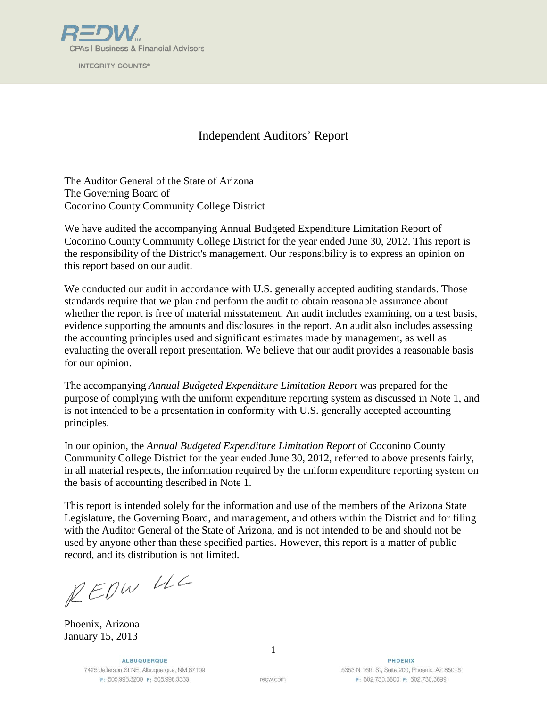

**INTEGRITY COUNTS®** 

# Independent Auditors' Report

The Auditor General of the State of Arizona The Governing Board of Coconino County Community College District

We have audited the accompanying Annual Budgeted Expenditure Limitation Report of Coconino County Community College District for the year ended June 30, 2012. This report is the responsibility of the District's management. Our responsibility is to express an opinion on this report based on our audit.

We conducted our audit in accordance with U.S. generally accepted auditing standards. Those standards require that we plan and perform the audit to obtain reasonable assurance about whether the report is free of material misstatement. An audit includes examining, on a test basis, evidence supporting the amounts and disclosures in the report. An audit also includes assessing the accounting principles used and significant estimates made by management, as well as evaluating the overall report presentation. We believe that our audit provides a reasonable basis for our opinion.

The accompanying *Annual Budgeted Expenditure Limitation Report* was prepared for the purpose of complying with the uniform expenditure reporting system as discussed in Note 1, and is not intended to be a presentation in conformity with U.S. generally accepted accounting principles.

In our opinion, the *Annual Budgeted Expenditure Limitation Report* of Coconino County Community College District for the year ended June 30, 2012, referred to above presents fairly, in all material respects, the information required by the uniform expenditure reporting system on the basis of accounting described in Note 1.

This report is intended solely for the information and use of the members of the Arizona State Legislature, the Governing Board, and management, and others within the District and for filing with the Auditor General of the State of Arizona, and is not intended to be and should not be used by anyone other than these specified parties. However, this report is a matter of public record, and its distribution is not limited.

REDW UC

Phoenix, Arizona January 15, 2013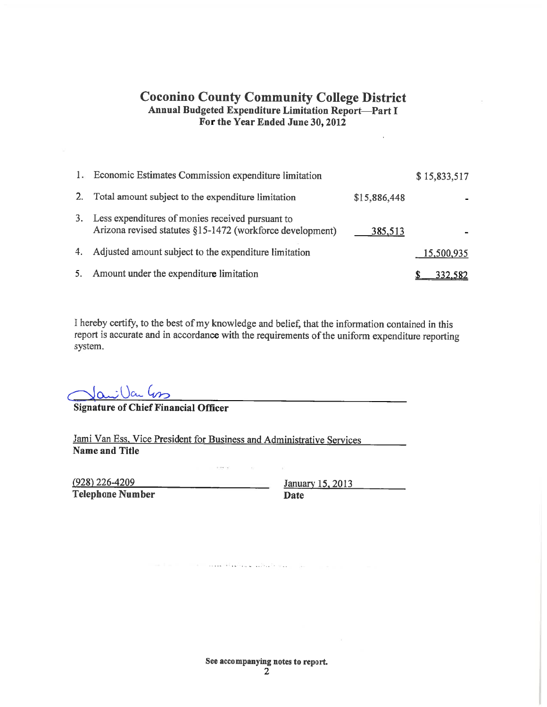#### **Coconino County Community College District Annual Budgeted Expenditure Limitation Report-Part I** For the Year Ended June 30, 2012

| 1. | Economic Estimates Commission expenditure limitation                                                          |              | \$15,833,517 |
|----|---------------------------------------------------------------------------------------------------------------|--------------|--------------|
| 2. | Total amount subject to the expenditure limitation                                                            | \$15,886,448 |              |
| 3. | Less expenditures of monies received pursuant to<br>Arizona revised statutes §15-1472 (workforce development) | 385,513      |              |
| 4. | Adjusted amount subject to the expenditure limitation                                                         |              | 15,500,935   |
| 5. | Amount under the expenditure limitation                                                                       |              | 332,582      |

I hereby certify, to the best of my knowledge and belief, that the information contained in this report is accurate and in accordance with the requirements of the uniform expenditure reporting system.

 $\alpha$   $\mu$ 

**Signature of Chief Financial Officer** 

Jami Van Ess, Vice President for Business and Administrative Services **Name and Title** 

لاتناقبت ويناس الانتسب

area not

 $(928)$  226-4209 **Telephone Number** 

January 15, 2013 Date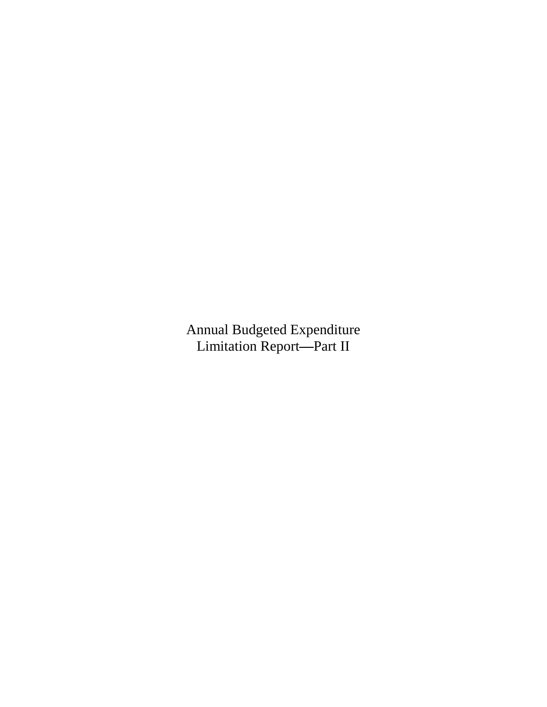Annual Budgeted Expenditure Limitation Report**—**Part II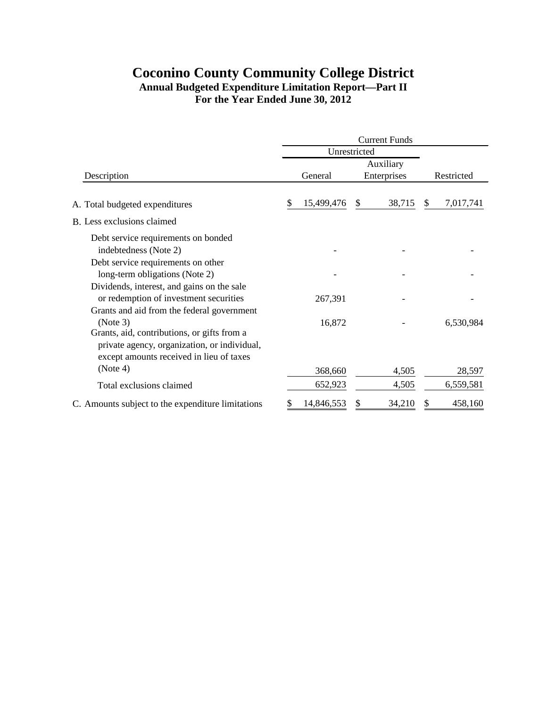# **Coconino County Community College District Annual Budgeted Expenditure Limitation Report—Part II For the Year Ended June 30, 2012**

|                                                                                                                                         | <b>Current Funds</b> |            |    |             |               |            |
|-----------------------------------------------------------------------------------------------------------------------------------------|----------------------|------------|----|-------------|---------------|------------|
|                                                                                                                                         | Unrestricted         |            |    |             |               |            |
| Description                                                                                                                             |                      |            |    | Auxiliary   |               |            |
|                                                                                                                                         |                      | General    |    | Enterprises |               | Restricted |
| A. Total budgeted expenditures                                                                                                          | S                    | 15,499,476 | \$ | 38,715      | <sup>\$</sup> | 7,017,741  |
| B. Less exclusions claimed                                                                                                              |                      |            |    |             |               |            |
| Debt service requirements on bonded<br>indebtedness (Note 2)                                                                            |                      |            |    |             |               |            |
| Debt service requirements on other<br>long-term obligations (Note 2)                                                                    |                      |            |    |             |               |            |
| Dividends, interest, and gains on the sale<br>or redemption of investment securities                                                    |                      | 267,391    |    |             |               |            |
| Grants and aid from the federal government<br>(Note 3)                                                                                  |                      | 16,872     |    |             |               | 6,530,984  |
| Grants, aid, contributions, or gifts from a<br>private agency, organization, or individual,<br>except amounts received in lieu of taxes |                      |            |    |             |               |            |
| (Note 4)                                                                                                                                |                      | 368,660    |    | 4,505       |               | 28,597     |
| Total exclusions claimed                                                                                                                |                      | 652,923    |    | 4,505       |               | 6,559,581  |
| C. Amounts subject to the expenditure limitations                                                                                       |                      | 14,846,553 |    | 34,210      |               | 458,160    |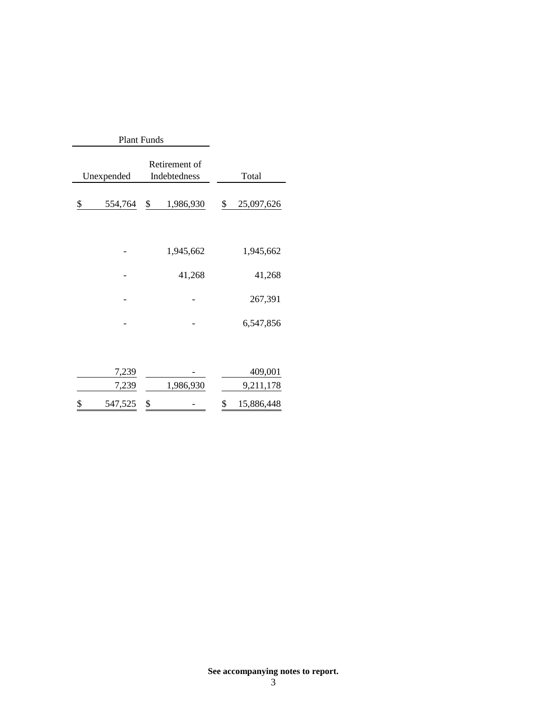| <b>Plant Funds</b> |                                             |    |           |    |            |
|--------------------|---------------------------------------------|----|-----------|----|------------|
|                    | Retirement of<br>Unexpended<br>Indebtedness |    |           |    | Total      |
| \$                 | 554,764                                     | \$ | 1,986,930 | \$ | 25,097,626 |
|                    |                                             |    |           |    |            |
|                    |                                             |    | 1,945,662 |    | 1,945,662  |
|                    |                                             |    | 41,268    |    | 41,268     |
|                    |                                             |    |           |    | 267,391    |
|                    |                                             |    |           |    | 6,547,856  |
|                    |                                             |    |           |    |            |

| 547,525 \$ |           | 15,886,448 |
|------------|-----------|------------|
| 7,239      | 1,986,930 | 9,211,178  |
| 7.239      |           | 409,001    |

**See accompanying notes to report.**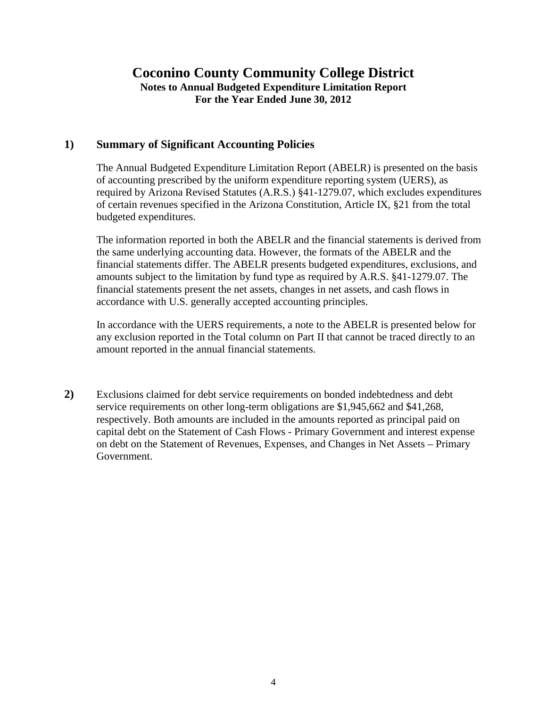# **Coconino County Community College District Notes to Annual Budgeted Expenditure Limitation Report For the Year Ended June 30, 2012**

### **1) Summary of Significant Accounting Policies**

The Annual Budgeted Expenditure Limitation Report (ABELR) is presented on the basis of accounting prescribed by the uniform expenditure reporting system (UERS), as required by Arizona Revised Statutes (A.R.S.) §41-1279.07, which excludes expenditures of certain revenues specified in the Arizona Constitution, Article IX, §21 from the total budgeted expenditures.

The information reported in both the ABELR and the financial statements is derived from the same underlying accounting data. However, the formats of the ABELR and the financial statements differ. The ABELR presents budgeted expenditures, exclusions, and amounts subject to the limitation by fund type as required by A.R.S. §41-1279.07. The financial statements present the net assets, changes in net assets, and cash flows in accordance with U.S. generally accepted accounting principles.

In accordance with the UERS requirements, a note to the ABELR is presented below for any exclusion reported in the Total column on Part II that cannot be traced directly to an amount reported in the annual financial statements.

**2)** Exclusions claimed for debt service requirements on bonded indebtedness and debt service requirements on other long-term obligations are \$1,945,662 and \$41,268, respectively. Both amounts are included in the amounts reported as principal paid on capital debt on the Statement of Cash Flows - Primary Government and interest expense on debt on the Statement of Revenues, Expenses, and Changes in Net Assets – Primary Government.